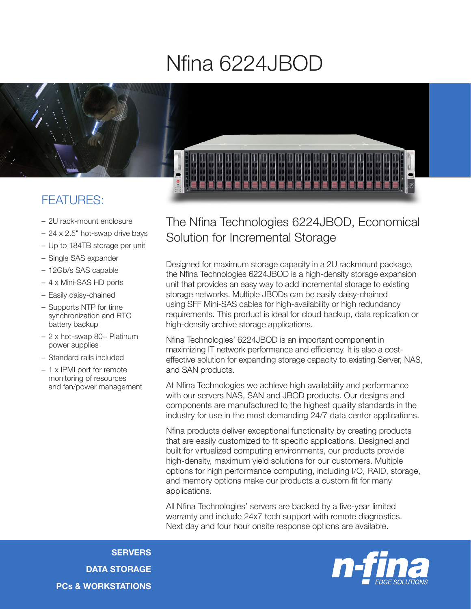## Nfina 6224JBOD



## FEATURES:

- 2U rack-mount enclosure
- 24 x 2.5" hot-swap drive bays
- Up to 184TB storage per unit
- Single SAS expander
- 12Gb/s SAS capable
- 4 x Mini-SAS HD ports
- Easily daisy-chained
- Supports NTP for time synchronization and RTC battery backup
- 2 x hot-swap 80+ Platinum power supplies
- Standard rails included
- 1 x IPMI port for remote monitoring of resources and fan/power management



## The Nfina Technologies 6224JBOD, Economical Solution for Incremental Storage

Designed for maximum storage capacity in a 2U rackmount package, the Nfina Technologies 6224JBOD is a high-density storage expansion unit that provides an easy way to add incremental storage to existing storage networks. Multiple JBODs can be easily daisy-chained using SFF Mini-SAS cables for high-availability or high redundancy requirements. This product is ideal for cloud backup, data replication or high-density archive storage applications.

Nfina Technologies' 6224JBOD is an important component in maximizing IT network performance and efficiency. It is also a costeffective solution for expanding storage capacity to existing Server, NAS, and SAN products.

At Nfina Technologies we achieve high availability and performance with our servers NAS, SAN and JBOD products. Our designs and components are manufactured to the highest quality standards in the industry for use in the most demanding 24/7 data center applications.

Nfina products deliver exceptional functionality by creating products that are easily customized to fit specific applications. Designed and built for virtualized computing environments, our products provide high-density, maximum yield solutions for our customers. Multiple options for high performance computing, including I/O, RAID, storage, and memory options make our products a custom fit for many applications.

All Nfina Technologies' servers are backed by a five-year limited warranty and include 24x7 tech support with remote diagnostics. Next day and four hour onsite response options are available.

**SERVERS** DATA STORAGE PCs & WORKSTATIONS